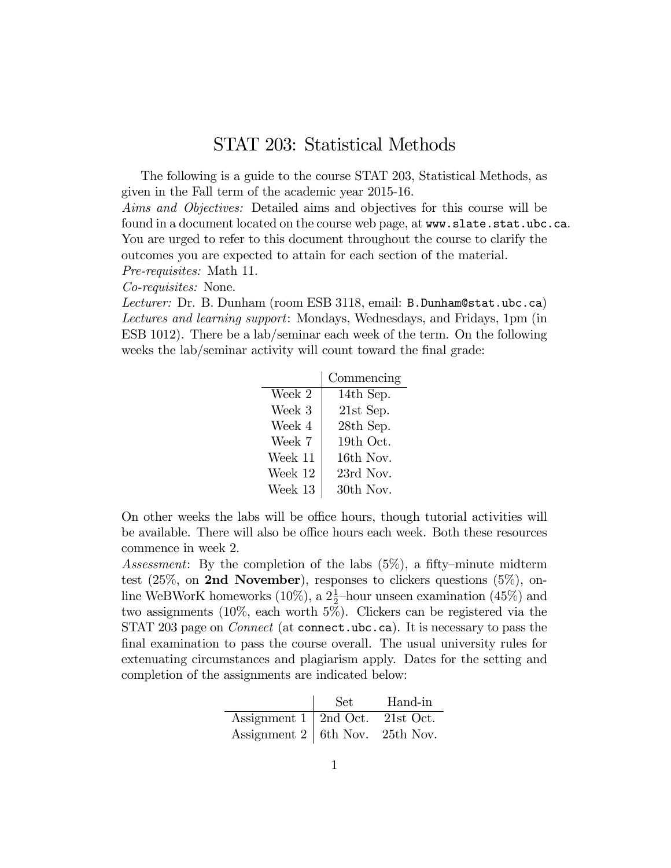## STAT 203: Statistical Methods

The following is a guide to the course STAT 203, Statistical Methods, as given in the Fall term of the academic year 2015-16.

Aims and Objectives: Detailed aims and objectives for this course will be found in a document located on the course web page, at www.slate.stat.ubc.ca. You are urged to refer to this document throughout the course to clarify the outcomes you are expected to attain for each section of the material.

Pre-requisites: Math 11.

Co-requisites: None.

Lecturer: Dr. B. Dunham (room ESB 3118, email: B. Dunham@stat.ubc.ca) Lectures and learning support: Mondays, Wednesdays, and Fridays, 1pm (in ESB 1012). There be a lab/seminar each week of the term. On the following weeks the lab/seminar activity will count toward the final grade:

|         | Commencing  |
|---------|-------------|
| Week 2  | 14th Sep.   |
| Week 3  | $21st$ Sep. |
| Week 4  | $28th$ Sep. |
| Week 7  | 19th Oct.   |
| Week 11 | 16th Nov.   |
| Week 12 | 23rd Nov.   |
| Week 13 | 30th Nov.   |

On other weeks the labs will be office hours, though tutorial activities will be available. There will also be office hours each week. Both these resources commence in week 2.

Assessment: By the completion of the labs  $(5\%)$ , a fifty–minute midterm test  $(25\%, \text{ on } 2nd \text{ November})$ , responses to clickers questions  $(5\%, \text{ on } 2nd \text{ November})$ line WeBWorK homeworks (10%), a  $2\frac{1}{2}$ -hour unseen examination (45%) and two assignments (10%, each worth  $5\%$ ). Clickers can be registered via the STAT 203 page on *Connect* (at connect.ubc.ca). It is necessary to pass the final examination to pass the course overall. The usual university rules for extenuating circumstances and plagiarism apply. Dates for the setting and completion of the assignments are indicated below:

|                                        | Set. | Hand-in |
|----------------------------------------|------|---------|
| Assignment $1 \mid 2nd$ Oct. 21st Oct. |      |         |
| Assignment $2 \mid 6th$ Nov. 25th Nov. |      |         |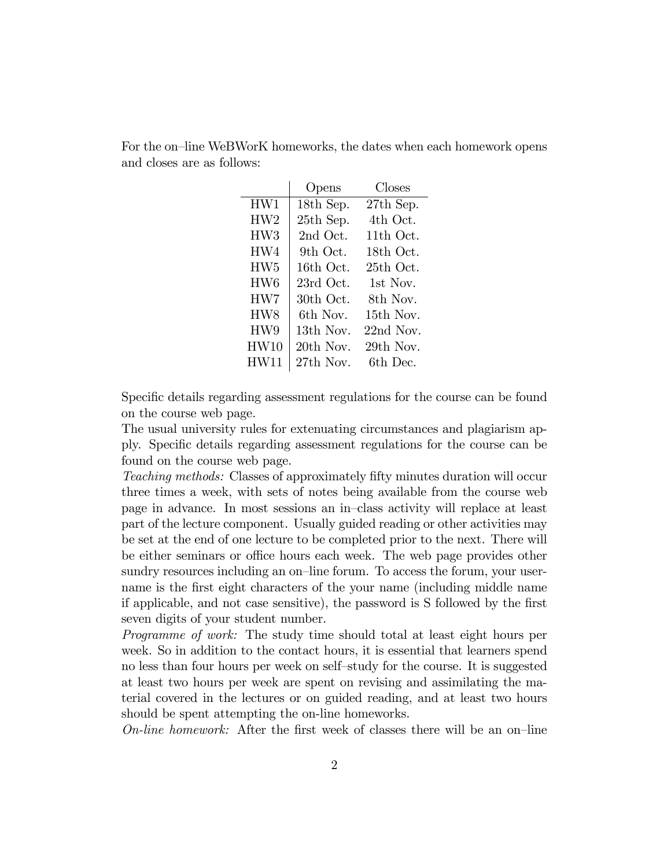|                 | Opens     | Closes      |
|-----------------|-----------|-------------|
| HW1             | 18th Sep. | $27th$ Sep. |
| HW2             | 25th Sep. | 4th Oct.    |
| HW <sub>3</sub> | 2nd Oct.  | $11th$ Oct. |
| HW4             | 9th Oct.  | 18th Oct.   |
| HW <sub>5</sub> | 16th Oct. | 25th Oct.   |
| HW <sub>6</sub> | 23rd Oct. | 1st Nov.    |
| HW7             | 30th Oct. | 8th Nov.    |
| HW8             | 6th Nov-  | $15th$ Nov. |
| HW9             | 13th Nov. | $22nd$ Nov. |
| HW10            | 20th Nov. | 29th Nov.   |
| HW11            | 27th Nov. | 6th Dec.    |

For the on-line WeBWorK homeworks, the dates when each homework opens and closes are as follows:

Specific details regarding assessment regulations for the course can be found on the course web page.

The usual university rules for extenuating circumstances and plagiarism apply. Specific details regarding assessment regulations for the course can be found on the course web page.

Teaching methods: Classes of approximately fifty minutes duration will occur three times a week, with sets of notes being available from the course web page in advance. In most sessions an in-class activity will replace at least part of the lecture component. Usually guided reading or other activities may be set at the end of one lecture to be completed prior to the next. There will be either seminars or office hours each week. The web page provides other sundry resources including an on-line forum. To access the forum, your username is the first eight characters of the your name (including middle name if applicable, and not case sensitive), the password is S followed by the Örst seven digits of your student number.

Programme of work: The study time should total at least eight hours per week. So in addition to the contact hours, it is essential that learners spend no less than four hours per week on self-study for the course. It is suggested at least two hours per week are spent on revising and assimilating the material covered in the lectures or on guided reading, and at least two hours should be spent attempting the on-line homeworks.

On-line homework: After the first week of classes there will be an on-line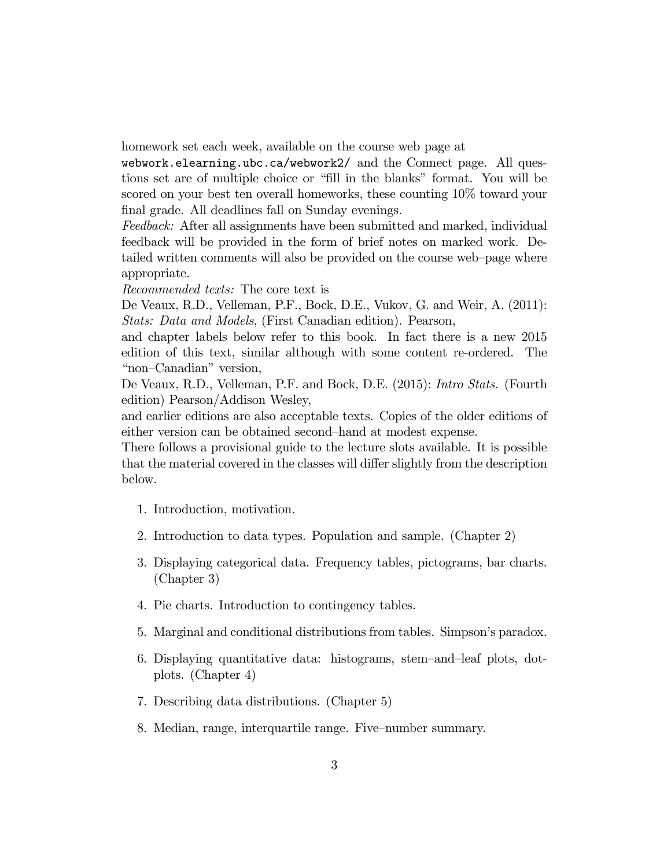homework set each week, available on the course web page at

webwork.elearning.ubc.ca/webwork2/ and the Connect page. All questions set are of multiple choice or "fill in the blanks" format. You will be scored on your best ten overall homeworks, these counting 10% toward your final grade. All deadlines fall on Sunday evenings.

Feedback: After all assignments have been submitted and marked, individual feedback will be provided in the form of brief notes on marked work. Detailed written comments will also be provided on the course web-page where appropriate.

Recommended texts: The core text is

De Veaux, R.D., Velleman, P.F., Bock, D.E., Vukov, G. and Weir, A. (2011): Stats: Data and Models, (First Canadian edition). Pearson,

and chapter labels below refer to this book. In fact there is a new 2015 edition of this text, similar although with some content re-ordered. The "non-Canadian" version,

De Veaux, R.D., Velleman, P.F. and Bock, D.E. (2015): Intro Stats. (Fourth edition) Pearson/Addison Wesley,

and earlier editions are also acceptable texts. Copies of the older editions of either version can be obtained second-hand at modest expense.

There follows a provisional guide to the lecture slots available. It is possible that the material covered in the classes will differ slightly from the description below.

- 1. Introduction, motivation.
- 2. Introduction to data types. Population and sample. (Chapter 2)
- 3. Displaying categorical data. Frequency tables, pictograms, bar charts. (Chapter 3)
- 4. Pie charts. Introduction to contingency tables.
- 5. Marginal and conditional distributions from tables. Simpson's paradox.
- 6. Displaying quantitative data: histograms, stem–and–leaf plots, dotplots. (Chapter 4)
- 7. Describing data distributions. (Chapter 5)
- 8. Median, range, interquartile range. Five-number summary.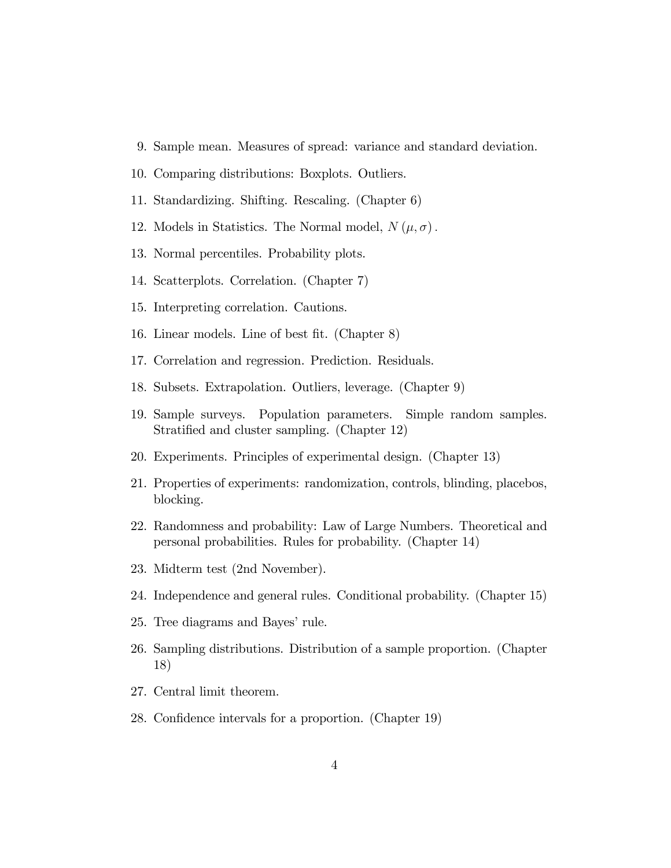- 9. Sample mean. Measures of spread: variance and standard deviation.
- 10. Comparing distributions: Boxplots. Outliers.
- 11. Standardizing. Shifting. Rescaling. (Chapter 6)
- 12. Models in Statistics. The Normal model,  $N(\mu, \sigma)$ .
- 13. Normal percentiles. Probability plots.
- 14. Scatterplots. Correlation. (Chapter 7)
- 15. Interpreting correlation. Cautions.
- 16. Linear models. Line of best fit. (Chapter 8)
- 17. Correlation and regression. Prediction. Residuals.
- 18. Subsets. Extrapolation. Outliers, leverage. (Chapter 9)
- 19. Sample surveys. Population parameters. Simple random samples. Stratified and cluster sampling. (Chapter 12)
- 20. Experiments. Principles of experimental design. (Chapter 13)
- 21. Properties of experiments: randomization, controls, blinding, placebos, blocking.
- 22. Randomness and probability: Law of Large Numbers. Theoretical and personal probabilities. Rules for probability. (Chapter 14)
- 23. Midterm test (2nd November).
- 24. Independence and general rules. Conditional probability. (Chapter 15)
- 25. Tree diagrams and Bayes' rule.
- 26. Sampling distributions. Distribution of a sample proportion. (Chapter 18)
- 27. Central limit theorem.
- 28. Confidence intervals for a proportion. (Chapter 19)